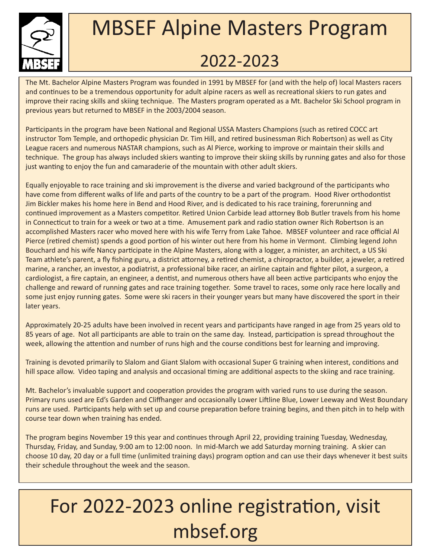

## MBSEF Alpine Masters Program 2022-2023

The Mt. Bachelor Alpine Masters Program was founded in 1991 by MBSEF for (and with the help of) local Masters racers and continues to be a tremendous opportunity for adult alpine racers as well as recreational skiers to run gates and improve their racing skills and skiing technique. The Masters program operated as a Mt. Bachelor Ski School program in previous years but returned to MBSEF in the 2003/2004 season.

Participants in the program have been National and Regional USSA Masters Champions (such as retired COCC art instructor Tom Temple, and orthopedic physician Dr. Tim Hill, and retired businessman Rich Robertson) as well as City League racers and numerous NASTAR champions, such as Al Pierce, working to improve or maintain their skills and technique. The group has always included skiers wanting to improve their skiing skills by running gates and also for those just wanting to enjoy the fun and camaraderie of the mountain with other adult skiers.

Equally enjoyable to race training and ski improvement is the diverse and varied background of the participants who have come from different walks of life and parts of the country to be a part of the program. Hood River orthodontist Jim Bickler makes his home here in Bend and Hood River, and is dedicated to his race training, forerunning and continued improvement as a Masters competitor. Retired Union Carbide lead attorney Bob Butler travels from his home in Connecticut to train for a week or two at a time. Amusement park and radio station owner Rich Robertson is an accomplished Masters racer who moved here with his wife Terry from Lake Tahoe. MBSEF volunteer and race official Al Pierce (retired chemist) spends a good portion of his winter out here from his home in Vermont. Climbing legend John Bouchard and his wife Nancy participate in the Alpine Masters, along with a logger, a minister, an architect, a US Ski Team athlete's parent, a fly fishing guru, a district attorney, a retired chemist, a chiropractor, a builder, a jeweler, a retired marine, a rancher, an investor, a podiatrist, a professional bike racer, an airline captain and fighter pilot, a surgeon, a cardiologist, a fire captain, an engineer, a dentist, and numerous others have all been active participants who enjoy the challenge and reward of running gates and race training together. Some travel to races, some only race here locally and some just enjoy running gates. Some were ski racers in their younger years but many have discovered the sport in their later years.

Approximately 20-25 adults have been involved in recent years and participants have ranged in age from 25 years old to 85 years of age. Not all participants are able to train on the same day. Instead, participation is spread throughout the week, allowing the attention and number of runs high and the course conditions best for learning and improving.

Training is devoted primarily to Slalom and Giant Slalom with occasional Super G training when interest, conditions and hill space allow. Video taping and analysis and occasional timing are additional aspects to the skiing and race training.

Mt. Bachelor's invaluable support and cooperation provides the program with varied runs to use during the season. Primary runs used are Ed's Garden and Cliffhanger and occasionally Lower Liftline Blue, Lower Leeway and West Boundary runs are used. Participants help with set up and course preparation before training begins, and then pitch in to help with course tear down when training has ended.

The program begins November 19 this year and continues through April 22, providing training Tuesday, Wednesday, Thursday, Friday, and Sunday, 9:00 am to 12:00 noon. In mid-March we add Saturday morning training. A skier can choose 10 day, 20 day or a full time (unlimited training days) program option and can use their days whenever it best suits their schedule throughout the week and the season.

## For 2022-2023 online registration, visit mbsef.org